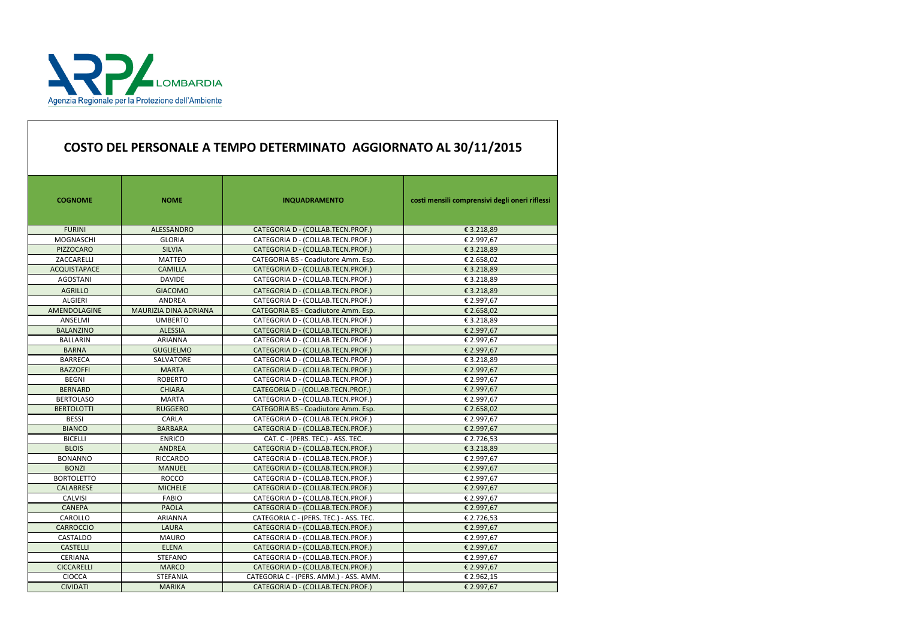| <b>COGNOME</b>      | <b>NOME</b>           | <b>INQUADRAMENTO</b>                   | costi mensili comprensivi degli oneri riflessi |
|---------------------|-----------------------|----------------------------------------|------------------------------------------------|
| <b>FURINI</b>       | ALESSANDRO            | CATEGORIA D - (COLLAB.TECN.PROF.)      | € 3.218,89                                     |
| <b>MOGNASCHI</b>    | <b>GLORIA</b>         | CATEGORIA D - (COLLAB.TECN.PROF.)      | € 2.997,67                                     |
| <b>PIZZOCARO</b>    | <b>SILVIA</b>         | CATEGORIA D - (COLLAB.TECN.PROF.)      | € 3.218,89                                     |
| ZACCARELLI          | <b>MATTEO</b>         | CATEGORIA BS - Coadiutore Amm. Esp.    | € 2.658,02                                     |
| <b>ACQUISTAPACE</b> | <b>CAMILLA</b>        | CATEGORIA D - (COLLAB.TECN.PROF.)      | € 3.218,89                                     |
| <b>AGOSTANI</b>     | <b>DAVIDE</b>         | CATEGORIA D - (COLLAB.TECN.PROF.)      | € 3.218,89                                     |
| <b>AGRILLO</b>      | <b>GIACOMO</b>        | CATEGORIA D - (COLLAB.TECN.PROF.)      | € 3.218,89                                     |
| <b>ALGIERI</b>      | ANDREA                | CATEGORIA D - (COLLAB.TECN.PROF.)      | € 2.997,67                                     |
| AMENDOLAGINE        | MAURIZIA DINA ADRIANA | CATEGORIA BS - Coadiutore Amm. Esp.    | € 2.658,02                                     |
| ANSELMI             | <b>UMBERTO</b>        | CATEGORIA D - (COLLAB.TECN.PROF.)      | € 3.218,89                                     |
| <b>BALANZINO</b>    | <b>ALESSIA</b>        | CATEGORIA D - (COLLAB.TECN.PROF.)      | € 2.997,67                                     |
| <b>BALLARIN</b>     | <b>ARIANNA</b>        | CATEGORIA D - (COLLAB.TECN.PROF.)      | € 2.997,67                                     |
| <b>BARNA</b>        | <b>GUGLIELMO</b>      | CATEGORIA D - (COLLAB.TECN.PROF.)      | € 2.997,67                                     |
| <b>BARRECA</b>      | SALVATORE             | CATEGORIA D - (COLLAB.TECN.PROF.)      | € 3.218,89                                     |
| <b>BAZZOFFI</b>     | <b>MARTA</b>          | CATEGORIA D - (COLLAB.TECN.PROF.)      | € 2.997,67                                     |
| <b>BEGNI</b>        | <b>ROBERTO</b>        | CATEGORIA D - (COLLAB.TECN.PROF.)      | € 2.997,67                                     |
| <b>BERNARD</b>      | <b>CHIARA</b>         | CATEGORIA D - (COLLAB.TECN.PROF.)      | € 2.997,67                                     |
| <b>BERTOLASO</b>    | <b>MARTA</b>          | CATEGORIA D - (COLLAB.TECN.PROF.)      | € 2.997,67                                     |
| <b>BERTOLOTTI</b>   | <b>RUGGERO</b>        | CATEGORIA BS - Coadiutore Amm. Esp.    | € 2.658,02                                     |
| <b>BESSI</b>        | CARLA                 | CATEGORIA D - (COLLAB.TECN.PROF.)      | € 2.997,67                                     |
| <b>BIANCO</b>       | <b>BARBARA</b>        | CATEGORIA D - (COLLAB.TECN.PROF.)      | € 2.997,67                                     |
| <b>BICELLI</b>      | <b>ENRICO</b>         | CAT. C - (PERS. TEC.) - ASS. TEC.      | € 2.726,53                                     |
| <b>BLOIS</b>        | <b>ANDREA</b>         | CATEGORIA D - (COLLAB.TECN.PROF.)      | € 3.218,89                                     |
| <b>BONANNO</b>      | RICCARDO              | CATEGORIA D - (COLLAB.TECN.PROF.)      | € 2.997,67                                     |
| <b>BONZI</b>        | <b>MANUEL</b>         | CATEGORIA D - (COLLAB.TECN.PROF.)      | € 2.997,67                                     |
| <b>BORTOLETTO</b>   | <b>ROCCO</b>          | CATEGORIA D - (COLLAB.TECN.PROF.)      | € 2.997,67                                     |
| <b>CALABRESE</b>    | <b>MICHELE</b>        | CATEGORIA D - (COLLAB.TECN.PROF.)      | € 2.997,67                                     |
| <b>CALVISI</b>      | <b>FABIO</b>          | CATEGORIA D - (COLLAB.TECN.PROF.)      | € 2.997,67                                     |
| <b>CANEPA</b>       | <b>PAOLA</b>          | CATEGORIA D - (COLLAB.TECN.PROF.)      | € 2.997,67                                     |
| CAROLLO             | <b>ARIANNA</b>        | CATEGORIA C - (PERS. TEC.) - ASS. TEC. | € 2.726,53                                     |
| <b>CARROCCIO</b>    | LAURA                 | CATEGORIA D - (COLLAB.TECN.PROF.)      | € 2.997,67                                     |
| CASTALDO            | <b>MAURO</b>          | CATEGORIA D - (COLLAB.TECN.PROF.)      | € 2.997,67                                     |
| <b>CASTELLI</b>     | <b>ELENA</b>          | CATEGORIA D - (COLLAB.TECN.PROF.)      | € 2.997,67                                     |
| CERIANA             | <b>STEFANO</b>        | CATEGORIA D - (COLLAB.TECN.PROF.)      | € 2.997,67                                     |
| <b>CICCARELLI</b>   | <b>MARCO</b>          | CATEGORIA D - (COLLAB.TECN.PROF.)      | € 2.997,67                                     |
| <b>CIOCCA</b>       | <b>STEFANIA</b>       | CATEGORIA C - (PERS. AMM.) - ASS. AMM. | € 2.962,15                                     |
| <b>CIVIDATI</b>     | <b>MARIKA</b>         | CATEGORIA D - (COLLAB.TECN.PROF.)      | € 2.997,67                                     |



## COSTO DEL PERSONALE A TEMPO DETERMINATO AGGIORNATO AL 30/11/2015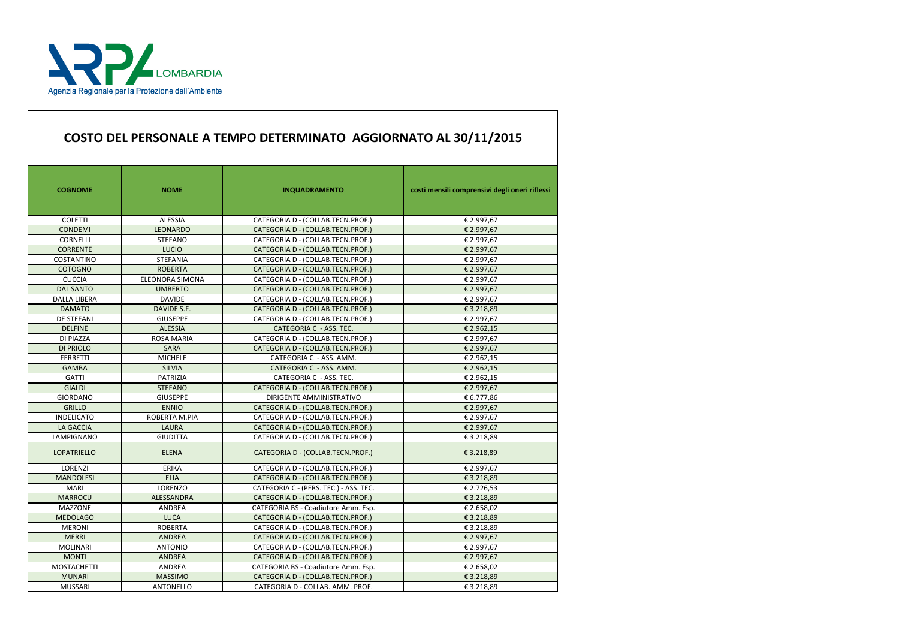

## COSTO DEL PERSONALE A TEMPO DETERMINATO AGGIORNATO AL 30/11/2015

| <b>COGNOME</b>      | <b>NOME</b>       | <b>INQUADRAMENTO</b>                   | costi mensili comprensivi degli oneri riflessi |
|---------------------|-------------------|----------------------------------------|------------------------------------------------|
| <b>COLETTI</b>      | ALESSIA           | CATEGORIA D - (COLLAB.TECN.PROF.)      | € 2.997,67                                     |
| <b>CONDEMI</b>      | <b>LEONARDO</b>   | CATEGORIA D - (COLLAB.TECN.PROF.)      | € 2.997,67                                     |
| <b>CORNELLI</b>     | <b>STEFANO</b>    | CATEGORIA D - (COLLAB.TECN.PROF.)      | € 2.997,67                                     |
| <b>CORRENTE</b>     | <b>LUCIO</b>      | CATEGORIA D - (COLLAB.TECN.PROF.)      | € 2.997,67                                     |
| COSTANTINO          | <b>STEFANIA</b>   | CATEGORIA D - (COLLAB.TECN.PROF.)      | € 2.997,67                                     |
| <b>COTOGNO</b>      | <b>ROBERTA</b>    | CATEGORIA D - (COLLAB.TECN.PROF.)      | € 2.997,67                                     |
| <b>CUCCIA</b>       | ELEONORA SIMONA   | CATEGORIA D - (COLLAB.TECN.PROF.)      | € 2.997,67                                     |
| <b>DAL SANTO</b>    | <b>UMBERTO</b>    | CATEGORIA D - (COLLAB.TECN.PROF.)      | € 2.997,67                                     |
| <b>DALLA LIBERA</b> | <b>DAVIDE</b>     | CATEGORIA D - (COLLAB.TECN.PROF.)      | € 2.997,67                                     |
| <b>DAMATO</b>       | DAVIDE S.F.       | CATEGORIA D - (COLLAB.TECN.PROF.)      | € 3.218,89                                     |
| <b>DE STEFANI</b>   | <b>GIUSEPPE</b>   | CATEGORIA D - (COLLAB.TECN.PROF.)      | € 2.997,67                                     |
| <b>DELFINE</b>      | <b>ALESSIA</b>    | CATEGORIA C - ASS. TEC.                | € 2.962,15                                     |
| DI PIAZZA           | <b>ROSA MARIA</b> | CATEGORIA D - (COLLAB.TECN.PROF.)      | € 2.997,67                                     |
| <b>DI PRIOLO</b>    | <b>SARA</b>       | CATEGORIA D - (COLLAB.TECN.PROF.)      | € 2.997,67                                     |
| <b>FERRETTI</b>     | <b>MICHELE</b>    | CATEGORIA C - ASS. AMM.                | € 2.962,15                                     |
| <b>GAMBA</b>        | <b>SILVIA</b>     | CATEGORIA C - ASS. AMM.                | € 2.962,15                                     |
| <b>GATTI</b>        | PATRIZIA          | CATEGORIA C - ASS. TEC.                | € 2.962,15                                     |
| <b>GIALDI</b>       | <b>STEFANO</b>    | CATEGORIA D - (COLLAB.TECN.PROF.)      | € 2.997,67                                     |
| <b>GIORDANO</b>     | <b>GIUSEPPE</b>   | DIRIGENTE AMMINISTRATIVO               | € 6.777,86                                     |
| <b>GRILLO</b>       | <b>ENNIO</b>      | CATEGORIA D - (COLLAB.TECN.PROF.)      | € 2.997,67                                     |
| <b>INDELICATO</b>   | ROBERTA M.PIA     | CATEGORIA D - (COLLAB.TECN.PROF.)      | € 2.997,67                                     |
| <b>LA GACCIA</b>    | <b>LAURA</b>      | CATEGORIA D - (COLLAB.TECN.PROF.)      | € 2.997,67                                     |
| LAMPIGNANO          | <b>GIUDITTA</b>   | CATEGORIA D - (COLLAB.TECN.PROF.)      | € 3.218,89                                     |
| <b>LOPATRIELLO</b>  | <b>ELENA</b>      | CATEGORIA D - (COLLAB.TECN.PROF.)      | € 3.218,89                                     |
| LORENZI             | <b>ERIKA</b>      | CATEGORIA D - (COLLAB.TECN.PROF.)      | € 2.997,67                                     |
| <b>MANDOLESI</b>    | <b>ELIA</b>       | CATEGORIA D - (COLLAB.TECN.PROF.)      | € 3.218,89                                     |
| <b>MARI</b>         | LORENZO           | CATEGORIA C - (PERS. TEC.) - ASS. TEC. | € 2.726,53                                     |
| <b>MARROCU</b>      | ALESSANDRA        | CATEGORIA D - (COLLAB.TECN.PROF.)      | € 3.218,89                                     |
| <b>MAZZONE</b>      | ANDREA            | CATEGORIA BS - Coadiutore Amm. Esp.    | € 2.658,02                                     |
| <b>MEDOLAGO</b>     | <b>LUCA</b>       | CATEGORIA D - (COLLAB.TECN.PROF.)      | € 3.218,89                                     |
| <b>MERONI</b>       | <b>ROBERTA</b>    | CATEGORIA D - (COLLAB.TECN.PROF.)      | € 3.218,89                                     |
| <b>MERRI</b>        | <b>ANDREA</b>     | CATEGORIA D - (COLLAB.TECN.PROF.)      | € 2.997,67                                     |
| <b>MOLINARI</b>     | <b>ANTONIO</b>    | CATEGORIA D - (COLLAB.TECN.PROF.)      | € 2.997,67                                     |
| <b>MONTI</b>        | ANDREA            | CATEGORIA D - (COLLAB.TECN.PROF.)      | € 2.997,67                                     |
| <b>MOSTACHETTI</b>  | ANDREA            | CATEGORIA BS - Coadiutore Amm. Esp.    | € 2.658,02                                     |
| <b>MUNARI</b>       | <b>MASSIMO</b>    | CATEGORIA D - (COLLAB.TECN.PROF.)      | € 3.218,89                                     |
| <b>MUSSARI</b>      | ANTONELLO         | CATEGORIA D - COLLAB. AMM. PROF.       | € 3.218,89                                     |
|                     |                   |                                        |                                                |